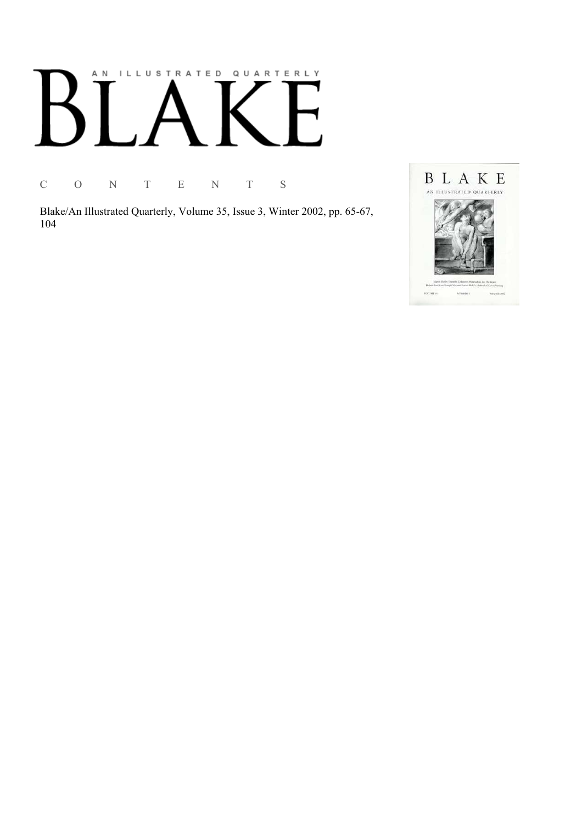# AN ILLUSTRATED QUARTERLY

C O N T E N T S

Blake/An Illustrated Quarterly, Volume 35, Issue 3, Winter 2002, pp. 65-67, 104

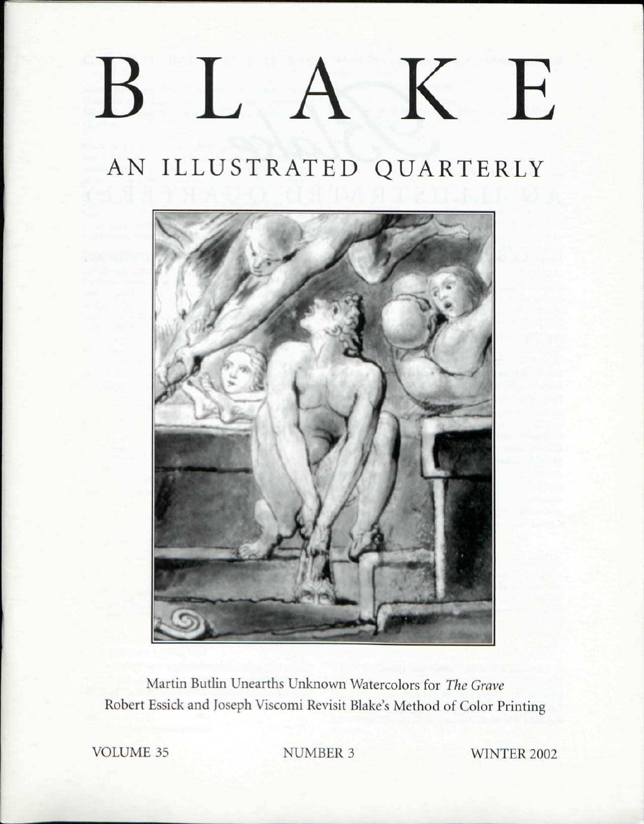## BLAK E

## AN ILLUSTRATED QUARTERLY



Martin Butlin Unearths Unknown Watercolors for *The Grave*  Robert Essick and Joseph Viscomi Revisit Blake's Method of Color Printing

VOLUME 35 NUMBER 3 WINTER 2002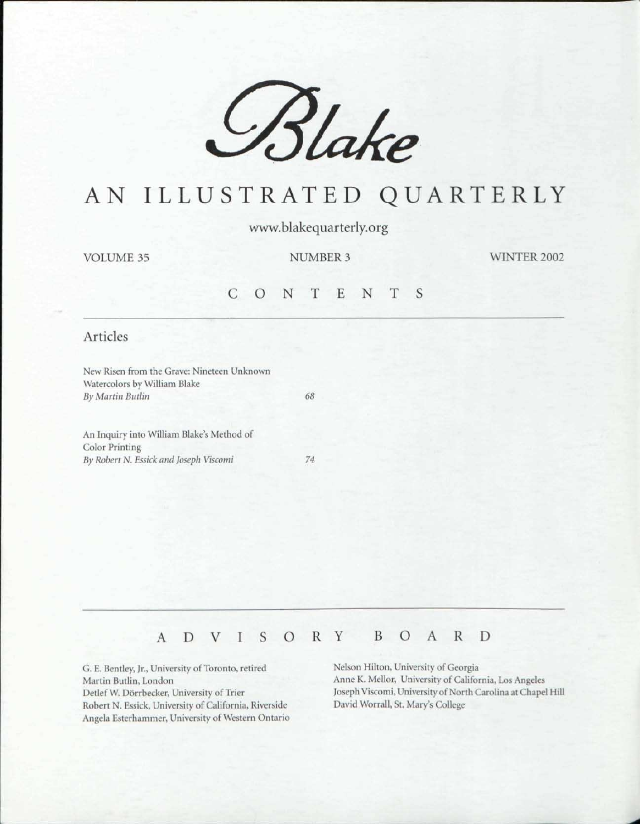

### AN ILLUSTRATED QUARTERLY

www.blakequarterly.org

VOLUME 35

NUMBER 3 WINTER 2002

#### CONTENT S

#### Articles

New Risen from the Grave: Nineteen Unknown Watercolors by William Blake *By Martin Butliti 68* 

An Inquiry into William Blake's Method of Color Printing *By Robert N. Essick and Joseph Viscomi 74* 

#### ADVISOR Y BOAR D

G. E. Bentley, Jr., University of Toronto, retired Martin Butlin, London Detlef W. Dorrbecker, University of Trier Robert N. Essick, University of California, Riverside Angela Esterhammer, University of Western Ontario Nelson Hilton, University of Georgia Anne K. Mellor, University of California, Los Angeles Joseph Viscomi, University of North Carolina at Chapel Hill David Worrall, St. Mary's College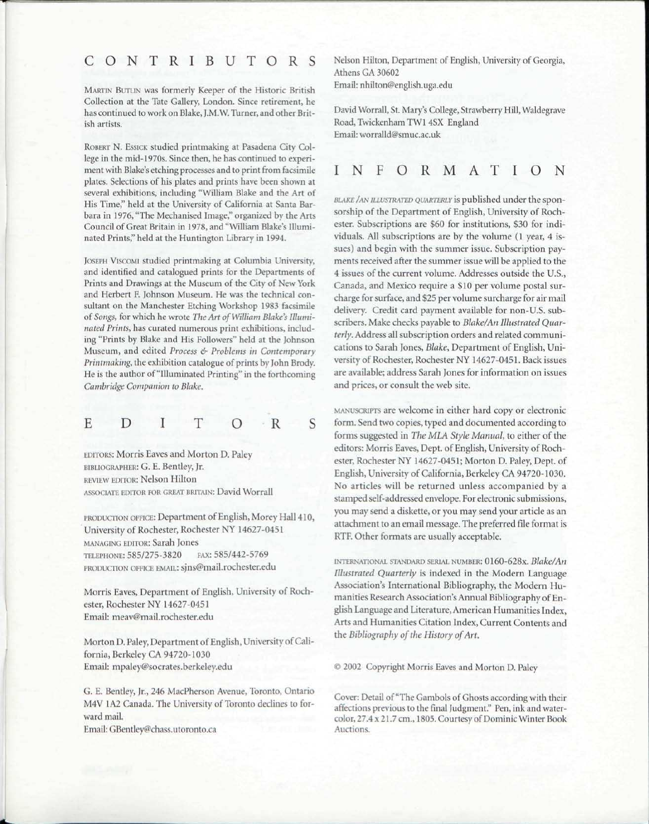#### CONTRIBUTOR S

MARTIN BUTLIN was formerly Keeper of the Historic British Collection at the Tate Gallery, London. Since retirement, he has continued to work on Blake, J.M.W. Turner, and other British artists.

ROBERT N. ESSICK studied printmaking at Pasadena City College in the mid-1970s. Since then, he has continued to experiment with Blake's etching processes and to print from facsimile plates. Selections of his plates and prints have been shown at several exhibitions, including "William Blake and the Art of His Time," held at the University of California at Santa Barbara in 1976, "The Mechanised Image," organized by the Arts Council of Great Britain in 1978, and "William Blake's Illuminated Prints," held at the Huntington Library in 1994.

JOSEPH VISCOMI studied printmaking at Columbia University, and identified and catalogued prints for the Departments of Prints and Drawings at the Museum of the City of New York and Herbert F. Johnson Museum. He was the technical consultant on the Manchester Etching Workshop 1983 facsimile of *Songs,* for which he wrote *The Art of William Blake's Illuminated Prints,* has curated numerous print exhibitions, including "Prints by Blake and His Followers" held at the Johnson Museum, and edited *Process & Problems in Contemporary Printmaking,* the exhibition catalogue of prints by John Brody. He is the author of "Illuminated Printing" in the forthcoming *Cambridge Companion to Blake.* 

$$
E \quad D \quad I \quad T \quad O \quad R = S
$$

EDITORS: Morris Eaves and Morton D. Paley BIBLIOGRAPHER: G. E. Bentley, Jr. REVIEW EDITOR: Nelson Hilton ASSOCIATE EDITOR EOR GREAT BRITAIN: David Worrall

PRODUCTION OFFICE: Department of English, Morey Hall 410, University of Rochester, Rochester NY 14627-0451 MANAGING EDITOR: Sarah Jones TELEPHONE: 585/275-3820 FAX: 585/442-5769 PRODUCTION OFFICE EMAIL: sjns@mail.rochester.edu

Morris Eaves, Department of English, University of Rochester, Rochester NY 14627-0451 Email: meav@mail.rochester.edu

Morton D. Paley, Department of English, University of California, Berkeley CA 94720-1030 Email: mpaley@socrates.berkeley.edu

G. E. Bentley, Jr., 246 MacPherson Avenue, Toronto, Ontario M4V 1A2 Canada. The University of Toronto declines to forward mail.

Email: GBentley@chass.utoronto.ca

Nelson Hilton, Department of English, University of Georgia, Athens GA 30602 Email: nhilton@english.uga.edu

David Worrall, St. Mary's College, Strawberry Hill, Waldegrave Road, Twickenham TW1 4SX England Email: worralld@smuc.ac.uk

#### INFORMATIO N

*BLAKE/AN ILLUSTRATED QUARTERLY* is published under the sponsorship of the Department of English, University of Rochester. Subscriptions are \$60 for institutions, \$30 for individuals. All subscriptions are by the volume (1 year, 4 issues) and begin with the summer issue. Subscription payments received after the summer issue will be applied to the 4 issues of the current volume. Addresses outside the U.S., Canada, and Mexico require a \$10 per volume postal surcharge for surface, and \$25 per volume surcharge for air mail delivery. Credit card payment available for non-U.S. subscribers. Make checks payable to *Blake/An Illustrated Quarterly.* Address all subscription orders and related communications to Sarah Jones, *Blake,* Department of English, University of Rochester, Rochester NY 14627-0451. Back issues are available; address Sarah Jones for information on issues and prices, or consult the web site.

MANUSCRIPTS are welcome in either hard copy or electronic form. Send two copies, typed and documented according to forms suggested in *The MLA Style Manual,* to either of the editors: Morris Eaves, Dept. of English, University of Rochester, Rochester NY 14627-0451; Morton D. Paley, Dept. of English, University of California, Berkeley CA 94720-1030. No articles will be returned unless accompanied by a stamped self-addressed envelope. For electronic submissions, you may send a diskette, or you may send your article as an attachment to an email message. The preferred file format is RTF. Other formats are usually acceptable.

INTERNATIONAL STANDARD SERIAL NUMBER: 0160-628x. *Blake/An Illustrated Quarterly* is indexed in the Modern Language Association's International Bibliography, the Modern Humanities Research Association's Annual Bibliography of English Language and Literature, American Humanities Index, Arts and Humanities Citation Index, Current Contents and the *Bibliography of the History of Art.* 

*©* 2002 Copyright Morris Eaves and Morton D. Paley

Cover: Detail of "The Gambols of Ghosts according with their affections previous to the final Judgment." Pen, ink and watercolor, 27.4 x 21.7 cm., 1805. Courtesy of Dominic Winter Book Auctions.